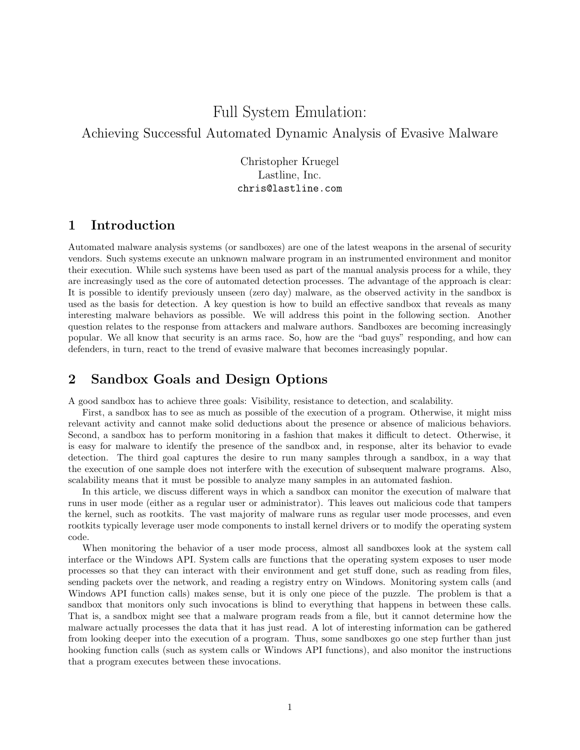# Full System Emulation: Achieving Successful Automated Dynamic Analysis of Evasive Malware

Christopher Kruegel Lastline, Inc. chris@lastline.com

## 1 Introduction

Automated malware analysis systems (or sandboxes) are one of the latest weapons in the arsenal of security vendors. Such systems execute an unknown malware program in an instrumented environment and monitor their execution. While such systems have been used as part of the manual analysis process for a while, they are increasingly used as the core of automated detection processes. The advantage of the approach is clear: It is possible to identify previously unseen (zero day) malware, as the observed activity in the sandbox is used as the basis for detection. A key question is how to build an effective sandbox that reveals as many interesting malware behaviors as possible. We will address this point in the following section. Another question relates to the response from attackers and malware authors. Sandboxes are becoming increasingly popular. We all know that security is an arms race. So, how are the "bad guys" responding, and how can defenders, in turn, react to the trend of evasive malware that becomes increasingly popular.

## 2 Sandbox Goals and Design Options

A good sandbox has to achieve three goals: Visibility, resistance to detection, and scalability.

First, a sandbox has to see as much as possible of the execution of a program. Otherwise, it might miss relevant activity and cannot make solid deductions about the presence or absence of malicious behaviors. Second, a sandbox has to perform monitoring in a fashion that makes it difficult to detect. Otherwise, it is easy for malware to identify the presence of the sandbox and, in response, alter its behavior to evade detection. The third goal captures the desire to run many samples through a sandbox, in a way that the execution of one sample does not interfere with the execution of subsequent malware programs. Also, scalability means that it must be possible to analyze many samples in an automated fashion.

In this article, we discuss different ways in which a sandbox can monitor the execution of malware that runs in user mode (either as a regular user or administrator). This leaves out malicious code that tampers the kernel, such as rootkits. The vast majority of malware runs as regular user mode processes, and even rootkits typically leverage user mode components to install kernel drivers or to modify the operating system code.

When monitoring the behavior of a user mode process, almost all sandboxes look at the system call interface or the Windows API. System calls are functions that the operating system exposes to user mode processes so that they can interact with their environment and get stuff done, such as reading from files, sending packets over the network, and reading a registry entry on Windows. Monitoring system calls (and Windows API function calls) makes sense, but it is only one piece of the puzzle. The problem is that a sandbox that monitors only such invocations is blind to everything that happens in between these calls. That is, a sandbox might see that a malware program reads from a file, but it cannot determine how the malware actually processes the data that it has just read. A lot of interesting information can be gathered from looking deeper into the execution of a program. Thus, some sandboxes go one step further than just hooking function calls (such as system calls or Windows API functions), and also monitor the instructions that a program executes between these invocations.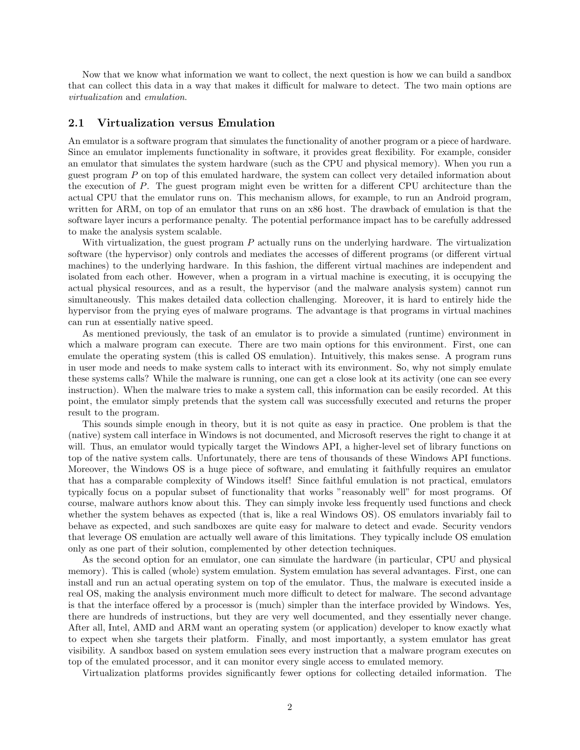Now that we know what information we want to collect, the next question is how we can build a sandbox that can collect this data in a way that makes it difficult for malware to detect. The two main options are virtualization and emulation.

#### 2.1 Virtualization versus Emulation

An emulator is a software program that simulates the functionality of another program or a piece of hardware. Since an emulator implements functionality in software, it provides great flexibility. For example, consider an emulator that simulates the system hardware (such as the CPU and physical memory). When you run a guest program P on top of this emulated hardware, the system can collect very detailed information about the execution of P. The guest program might even be written for a different CPU architecture than the actual CPU that the emulator runs on. This mechanism allows, for example, to run an Android program, written for ARM, on top of an emulator that runs on an x86 host. The drawback of emulation is that the software layer incurs a performance penalty. The potential performance impact has to be carefully addressed to make the analysis system scalable.

With virtualization, the guest program  $P$  actually runs on the underlying hardware. The virtualization software (the hypervisor) only controls and mediates the accesses of different programs (or different virtual machines) to the underlying hardware. In this fashion, the different virtual machines are independent and isolated from each other. However, when a program in a virtual machine is executing, it is occupying the actual physical resources, and as a result, the hypervisor (and the malware analysis system) cannot run simultaneously. This makes detailed data collection challenging. Moreover, it is hard to entirely hide the hypervisor from the prying eyes of malware programs. The advantage is that programs in virtual machines can run at essentially native speed.

As mentioned previously, the task of an emulator is to provide a simulated (runtime) environment in which a malware program can execute. There are two main options for this environment. First, one can emulate the operating system (this is called OS emulation). Intuitively, this makes sense. A program runs in user mode and needs to make system calls to interact with its environment. So, why not simply emulate these systems calls? While the malware is running, one can get a close look at its activity (one can see every instruction). When the malware tries to make a system call, this information can be easily recorded. At this point, the emulator simply pretends that the system call was successfully executed and returns the proper result to the program.

This sounds simple enough in theory, but it is not quite as easy in practice. One problem is that the (native) system call interface in Windows is not documented, and Microsoft reserves the right to change it at will. Thus, an emulator would typically target the Windows API, a higher-level set of library functions on top of the native system calls. Unfortunately, there are tens of thousands of these Windows API functions. Moreover, the Windows OS is a huge piece of software, and emulating it faithfully requires an emulator that has a comparable complexity of Windows itself! Since faithful emulation is not practical, emulators typically focus on a popular subset of functionality that works "reasonably well" for most programs. Of course, malware authors know about this. They can simply invoke less frequently used functions and check whether the system behaves as expected (that is, like a real Windows OS). OS emulators invariably fail to behave as expected, and such sandboxes are quite easy for malware to detect and evade. Security vendors that leverage OS emulation are actually well aware of this limitations. They typically include OS emulation only as one part of their solution, complemented by other detection techniques.

As the second option for an emulator, one can simulate the hardware (in particular, CPU and physical memory). This is called (whole) system emulation. System emulation has several advantages. First, one can install and run an actual operating system on top of the emulator. Thus, the malware is executed inside a real OS, making the analysis environment much more difficult to detect for malware. The second advantage is that the interface offered by a processor is (much) simpler than the interface provided by Windows. Yes, there are hundreds of instructions, but they are very well documented, and they essentially never change. After all, Intel, AMD and ARM want an operating system (or application) developer to know exactly what to expect when she targets their platform. Finally, and most importantly, a system emulator has great visibility. A sandbox based on system emulation sees every instruction that a malware program executes on top of the emulated processor, and it can monitor every single access to emulated memory.

Virtualization platforms provides significantly fewer options for collecting detailed information. The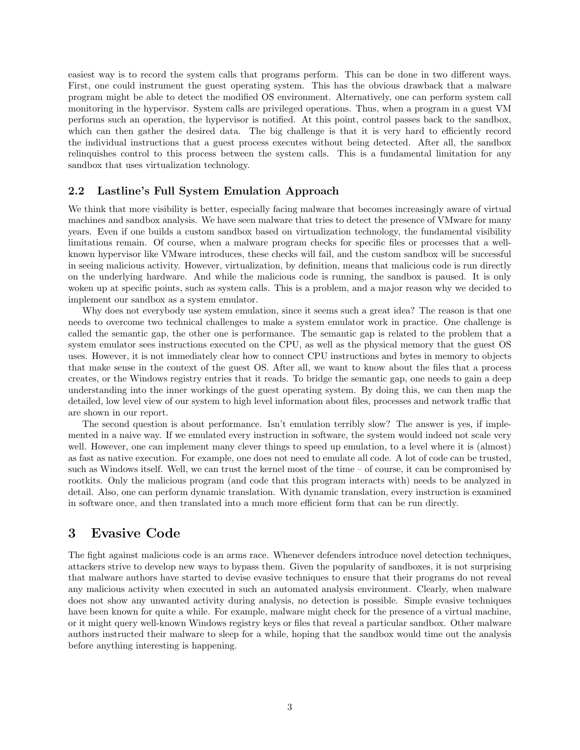easiest way is to record the system calls that programs perform. This can be done in two different ways. First, one could instrument the guest operating system. This has the obvious drawback that a malware program might be able to detect the modified OS environment. Alternatively, one can perform system call monitoring in the hypervisor. System calls are privileged operations. Thus, when a program in a guest VM performs such an operation, the hypervisor is notified. At this point, control passes back to the sandbox, which can then gather the desired data. The big challenge is that it is very hard to efficiently record the individual instructions that a guest process executes without being detected. After all, the sandbox relinquishes control to this process between the system calls. This is a fundamental limitation for any sandbox that uses virtualization technology.

#### 2.2 Lastline's Full System Emulation Approach

We think that more visibility is better, especially facing malware that becomes increasingly aware of virtual machines and sandbox analysis. We have seen malware that tries to detect the presence of VMware for many years. Even if one builds a custom sandbox based on virtualization technology, the fundamental visibility limitations remain. Of course, when a malware program checks for specific files or processes that a wellknown hypervisor like VMware introduces, these checks will fail, and the custom sandbox will be successful in seeing malicious activity. However, virtualization, by definition, means that malicious code is run directly on the underlying hardware. And while the malicious code is running, the sandbox is paused. It is only woken up at specific points, such as system calls. This is a problem, and a major reason why we decided to implement our sandbox as a system emulator.

Why does not everybody use system emulation, since it seems such a great idea? The reason is that one needs to overcome two technical challenges to make a system emulator work in practice. One challenge is called the semantic gap, the other one is performance. The semantic gap is related to the problem that a system emulator sees instructions executed on the CPU, as well as the physical memory that the guest OS uses. However, it is not immediately clear how to connect CPU instructions and bytes in memory to objects that make sense in the context of the guest OS. After all, we want to know about the files that a process creates, or the Windows registry entries that it reads. To bridge the semantic gap, one needs to gain a deep understanding into the inner workings of the guest operating system. By doing this, we can then map the detailed, low level view of our system to high level information about files, processes and network traffic that are shown in our report.

The second question is about performance. Isn't emulation terribly slow? The answer is yes, if implemented in a naive way. If we emulated every instruction in software, the system would indeed not scale very well. However, one can implement many clever things to speed up emulation, to a level where it is (almost) as fast as native execution. For example, one does not need to emulate all code. A lot of code can be trusted, such as Windows itself. Well, we can trust the kernel most of the time – of course, it can be compromised by rootkits. Only the malicious program (and code that this program interacts with) needs to be analyzed in detail. Also, one can perform dynamic translation. With dynamic translation, every instruction is examined in software once, and then translated into a much more efficient form that can be run directly.

## 3 Evasive Code

The fight against malicious code is an arms race. Whenever defenders introduce novel detection techniques, attackers strive to develop new ways to bypass them. Given the popularity of sandboxes, it is not surprising that malware authors have started to devise evasive techniques to ensure that their programs do not reveal any malicious activity when executed in such an automated analysis environment. Clearly, when malware does not show any unwanted activity during analysis, no detection is possible. Simple evasive techniques have been known for quite a while. For example, malware might check for the presence of a virtual machine, or it might query well-known Windows registry keys or files that reveal a particular sandbox. Other malware authors instructed their malware to sleep for a while, hoping that the sandbox would time out the analysis before anything interesting is happening.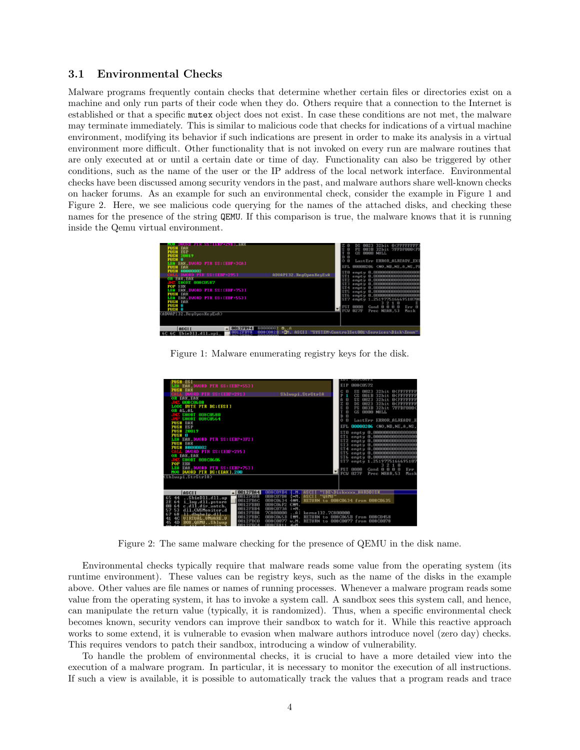#### 3.1 Environmental Checks

Malware programs frequently contain checks that determine whether certain files or directories exist on a machine and only run parts of their code when they do. Others require that a connection to the Internet is established or that a specific mutex object does not exist. In case these conditions are not met, the malware may terminate immediately. This is similar to malicious code that checks for indications of a virtual machine environment, modifying its behavior if such indications are present in order to make its analysis in a virtual environment more difficult. Other functionality that is not invoked on every run are malware routines that are only executed at or until a certain date or time of day. Functionality can also be triggered by other conditions, such as the name of the user or the IP address of the local network interface. Environmental checks have been discussed among security vendors in the past, and malware authors share well-known checks on hacker forums. As an example for such an environmental check, consider the example in Figure 1 and Figure 2. Here, we see malicious code querying for the names of the attached disks, and checking these names for the presence of the string QEMU. If this comparison is true, the malware knows that it is running inside the Qemu virtual environment.

| руско ртк зантане 2901 дик                          | $@$ $C$ $B$ $B$ $B$ $B$ $B$ $B$                 |
|-----------------------------------------------------|-------------------------------------------------|
| <b>EAX</b><br>PUSH                                  | 003B 32bit 7FFDF000(F)                          |
| ESP                                                 | GS 0000 NULL                                    |
| <b>PUSH 20019</b><br>PUSH A                         |                                                 |
| LEA EAX.DUORD PTR SS: [EBP+3CA]                     | LastErr ERROR ALREADY EX                        |
| <b>PUSH EAX</b>                                     | EFL 00000206 (NO.NB.NE.A.NS.P)                  |
| <b>PUSH 8000002</b>                                 | ST0 empty 0.00000000000000000                   |
| <b>PTR SS: [EBP+295]</b><br>ADUAPI32. RegOpenKeyExA | ST1 empty 0.00000000000000000                   |
| <b>OR FAX FAX</b>                                   | :T2 empty 0.00000000000000000                   |
| <b>SHORT 008C0587</b>                               | 3 empty 0.000000000000000000                    |
| POP EBX<br><b>LEA EAX DUORD PTR SS: [EBP+753]</b>   | 4 empty 0.000000000000000000                    |
| PUSH FAX                                            | SIS empty 0.00000000                            |
| <b>LEA EAX DWORD PTR SS:[EBP+553]</b>               | SI6 empty 0.0000000000                          |
| PUSH EAX                                            | STZ emptu 1.25197751666951070                   |
| PUSH 0                                              | Err<br>- 63<br>Cond                             |
| рнен                                                | <b>N27E</b><br>Prec NEAR.53<br>Mask             |
| (ADVAPI32.RegOpenKeyExA)                            |                                                 |
|                                                     |                                                 |
|                                                     |                                                 |
|                                                     |                                                 |
| ASCII                                               | ASCII "SYSTEM\ControlSet001\Services\Disk\Enum" |
| ShieD11<br>6C 6C                                    |                                                 |

Figure 1: Malware enumerating registry keys for the disk.

| PUSH ESI<br>LEA EAX.DWORD PTR SS: [EBP+553] |                                         |                                       |                             |                   | <b></b><br>EIP MMRCM572 |                                  |                                  |
|---------------------------------------------|-----------------------------------------|---------------------------------------|-----------------------------|-------------------|-------------------------|----------------------------------|----------------------------------|
| <b>PUSH EAX</b>                             |                                         |                                       |                             |                   |                         |                                  |                                  |
| ORD PTR SS:[EBP+291]                        |                                         |                                       | Shlwapi.StrStrIA            |                   | FS                      | 0023                             | 32bit OCFFFFFFF                  |
| OR FAX FAX                                  |                                         |                                       |                             |                   | CS                      | 001 B<br>$32$ hit                |                                  |
| 008C0608                                    |                                         |                                       |                             |                   | SS<br>$\Box$            | 0023<br>$32$ hit                 |                                  |
| LODS BYTE PTR DS: [ESI]                     |                                         |                                       |                             |                   | $\Box$<br>DS            | AA23 32bit                       | AC RREEL                         |
| OR AL.AL                                    |                                         |                                       |                             |                   | 自<br>FS                 |                                  | 003B 32bit 7FFDF000              |
|                                             |                                         |                                       |                             |                   | $\Box$                  | GS 0000 NULL                     |                                  |
| SHORT 008C0580                              |                                         |                                       |                             | D                 | $\Box$                  |                                  |                                  |
| <b>SHORT 008C0564</b>                       |                                         |                                       |                             | $\Omega$          | $\sqrt{1}$              |                                  | LastErr ERROR ALREADY E          |
| <b>PUSH EAX</b>                             |                                         |                                       |                             |                   |                         |                                  | EFL 00000206 (NO, NB, NE, A, NS, |
| <b>PUSH ESP</b>                             |                                         |                                       |                             |                   |                         |                                  |                                  |
| <b>PUSH 20019</b>                           |                                         |                                       |                             |                   |                         |                                  | ST0 empty 0.0000000000000000     |
| PUSH 0                                      |                                         |                                       |                             |                   |                         |                                  | empty 0.0000000000000000         |
| <b>LEA EAX DUORD PTR SS:[EBP+3F2]</b>       |                                         |                                       |                             |                   |                         |                                  | ST2 empty 0.00000000000000000    |
| <b>PUSH EAX</b>                             |                                         |                                       |                             |                   |                         |                                  | ST3 empty 0.0000000000000000     |
| <b>PUSH 80000002</b>                        |                                         |                                       |                             |                   |                         |                                  | ST4 empty 0.00000000000000000    |
| DWORD PTR SS: [EBP+295]                     |                                         |                                       |                             |                   |                         |                                  | ST5 empty 0.0000000000000000     |
| EAX.EAX<br>ОR                               |                                         |                                       |                             |                   |                         |                                  | ST6 empty 0.0000000000000000     |
| SHORT 008C0606                              |                                         |                                       |                             |                   |                         |                                  | ST7 empty 1.2519775166695107     |
| POP EBX                                     |                                         |                                       |                             |                   |                         | з                                | 21 目                             |
| EAX, DWORD PTR SS: [EBP+753]<br>LEA         |                                         |                                       |                             |                   | 0000<br><b>FST</b>      | $Cond \oplus \oplus \oplus$      | Err                              |
| MOU DWORD PTR DS: [EAX] 200                 |                                         |                                       |                             |                   | <b>FCW</b><br>027F      | Prec NEAR.53                     | Mask                             |
| (Shluapi.StrStrIA)                          |                                         |                                       |                             |                   |                         |                                  |                                  |
|                                             |                                         |                                       |                             |                   |                         |                                  |                                  |
|                                             |                                         |                                       |                             |                   |                         |                                  |                                  |
|                                             |                                         | 008C09B4                              |                             |                   | "IDENDiskxxxx HARDDISK  |                                  |                                  |
| ASCII                                       | $\triangle$ 0012FBA4<br><b>0012FBA8</b> | 008 CO7D8                             | .H.<br>ASCII<br>֥m<br>ASCII | "OEMU"            |                         |                                  |                                  |
| SbieDll.dll.ap<br>44<br>65                  |                                         | 008C0634<br>$4 + H$                   |                             |                   |                         | RETURN to 008C0634 from 008C0635 |                                  |
| i_log.dll.pstore<br>2E<br>64                | 0012FBAC                                |                                       |                             |                   |                         |                                  |                                  |
| c.dll.dir_watch.<br>64                      | 0012FBB0                                | 008 CO6 F2<br>$6 + H$ .               |                             |                   |                         |                                  |                                  |
| 53<br>dll.CWSMonitor.d<br>57                | <b>0012FBB4</b>                         | AARCA73A<br>$: -M$                    |                             |                   |                         |                                  |                                  |
| 68<br>$11.$ dbghe $1p.$ d $11$<br>67        | 0012FBB8                                | 20800000                              |                             | kerne132.7C800000 |                         |                                  |                                  |
| 4C<br>UTRTIIÄT. UMVARE U                    | AA12 FRRC                               | AARCA65R<br><b>T-MM</b>               |                             | t n               |                         | AARCA65B from AARCA458           |                                  |
| 4D<br>BOX.QEMUShlwap<br>45                  | 0012FBCA<br><b>CALLA OLYMPIA</b>        | 008C0077 v.M.<br><b>CASSAS CASSAS</b> | <b>RETURN</b>               | t <sub>0</sub>    |                         | 008C0077 from 008C0078           |                                  |

Figure 2: The same malware checking for the presence of QEMU in the disk name.

Environmental checks typically require that malware reads some value from the operating system (its runtime environment). These values can be registry keys, such as the name of the disks in the example above. Other values are file names or names of running processes. Whenever a malware program reads some value from the operating system, it has to invoke a system call. A sandbox sees this system call, and hence, can manipulate the return value (typically, it is randomized). Thus, when a specific environmental check becomes known, security vendors can improve their sandbox to watch for it. While this reactive approach works to some extend, it is vulnerable to evasion when malware authors introduce novel (zero day) checks. This requires vendors to patch their sandbox, introducing a window of vulnerability.

To handle the problem of environmental checks, it is crucial to have a more detailed view into the execution of a malware program. In particular, it is necessary to monitor the execution of all instructions. If such a view is available, it is possible to automatically track the values that a program reads and trace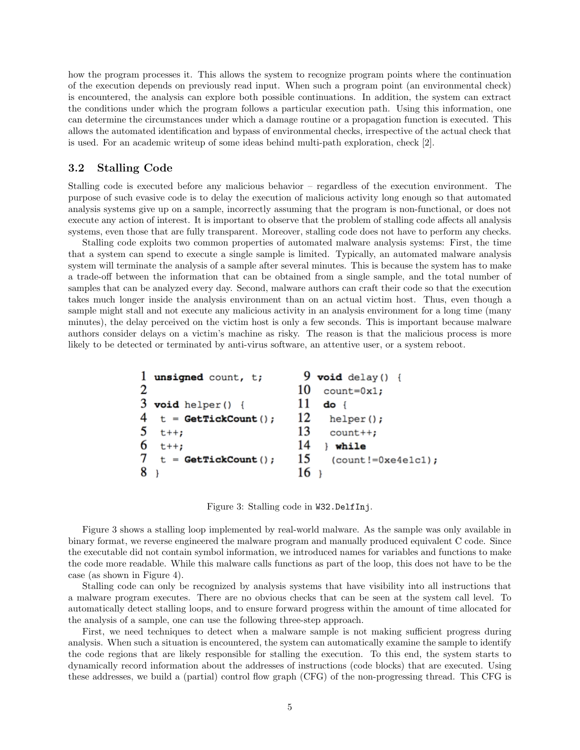how the program processes it. This allows the system to recognize program points where the continuation of the execution depends on previously read input. When such a program point (an environmental check) is encountered, the analysis can explore both possible continuations. In addition, the system can extract the conditions under which the program follows a particular execution path. Using this information, one can determine the circumstances under which a damage routine or a propagation function is executed. This allows the automated identification and bypass of environmental checks, irrespective of the actual check that is used. For an academic writeup of some ideas behind multi-path exploration, check [2].

#### 3.2 Stalling Code

Stalling code is executed before any malicious behavior – regardless of the execution environment. The purpose of such evasive code is to delay the execution of malicious activity long enough so that automated analysis systems give up on a sample, incorrectly assuming that the program is non-functional, or does not execute any action of interest. It is important to observe that the problem of stalling code affects all analysis systems, even those that are fully transparent. Moreover, stalling code does not have to perform any checks.

Stalling code exploits two common properties of automated malware analysis systems: First, the time that a system can spend to execute a single sample is limited. Typically, an automated malware analysis system will terminate the analysis of a sample after several minutes. This is because the system has to make a trade-off between the information that can be obtained from a single sample, and the total number of samples that can be analyzed every day. Second, malware authors can craft their code so that the execution takes much longer inside the analysis environment than on an actual victim host. Thus, even though a sample might stall and not execute any malicious activity in an analysis environment for a long time (many minutes), the delay perceived on the victim host is only a few seconds. This is important because malware authors consider delays on a victim's machine as risky. The reason is that the malicious process is more likely to be detected or terminated by anti-virus software, an attentive user, or a system reboot.

|   | 1 unsigned count, $t$ ;         | 9 void delay () {                                           |
|---|---------------------------------|-------------------------------------------------------------|
| 2 |                                 | 10<br>$count=0x1;$                                          |
|   | $3$ void helper() {             | 11<br>$\mathbf{d}$ o {                                      |
|   | 4 $t = \text{GetTickCount}()$ ; | 12<br>$h$ elper $()$ ;                                      |
| 5 | $t++$ ;                         | 13<br>$count++;$                                            |
| 6 | $t++$ :                         | 14<br>while                                                 |
|   | $t =$ GetTickCount();           | 15<br>$\left(\text{count}\right!=\!0\text{xe4elcl}\right);$ |
|   |                                 |                                                             |

Figure 3: Stalling code in W32.DelfInj.

Figure 3 shows a stalling loop implemented by real-world malware. As the sample was only available in binary format, we reverse engineered the malware program and manually produced equivalent C code. Since the executable did not contain symbol information, we introduced names for variables and functions to make the code more readable. While this malware calls functions as part of the loop, this does not have to be the case (as shown in Figure 4).

Stalling code can only be recognized by analysis systems that have visibility into all instructions that a malware program executes. There are no obvious checks that can be seen at the system call level. To automatically detect stalling loops, and to ensure forward progress within the amount of time allocated for the analysis of a sample, one can use the following three-step approach.

First, we need techniques to detect when a malware sample is not making sufficient progress during analysis. When such a situation is encountered, the system can automatically examine the sample to identify the code regions that are likely responsible for stalling the execution. To this end, the system starts to dynamically record information about the addresses of instructions (code blocks) that are executed. Using these addresses, we build a (partial) control flow graph (CFG) of the non-progressing thread. This CFG is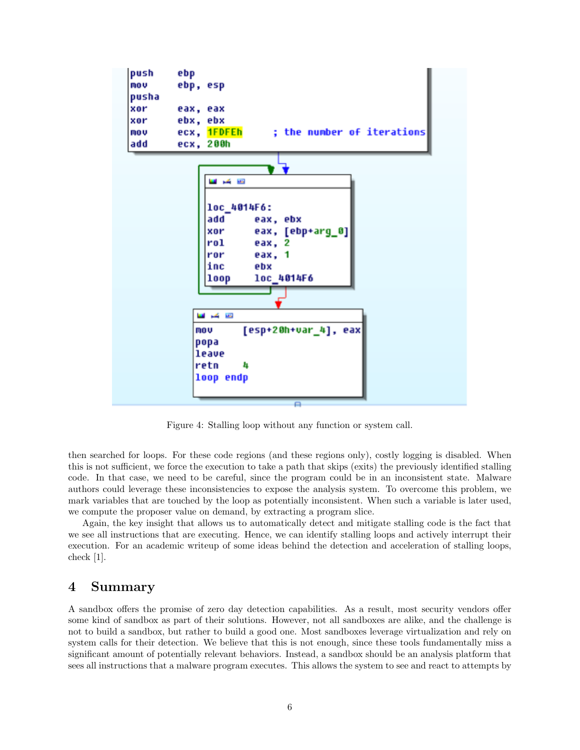

Figure 4: Stalling loop without any function or system call.

then searched for loops. For these code regions (and these regions only), costly logging is disabled. When this is not sufficient, we force the execution to take a path that skips (exits) the previously identified stalling code. In that case, we need to be careful, since the program could be in an inconsistent state. Malware authors could leverage these inconsistencies to expose the analysis system. To overcome this problem, we mark variables that are touched by the loop as potentially inconsistent. When such a variable is later used, we compute the proposer value on demand, by extracting a program slice.

Again, the key insight that allows us to automatically detect and mitigate stalling code is the fact that we see all instructions that are executing. Hence, we can identify stalling loops and actively interrupt their execution. For an academic writeup of some ideas behind the detection and acceleration of stalling loops, check [1].

### 4 Summary

A sandbox offers the promise of zero day detection capabilities. As a result, most security vendors offer some kind of sandbox as part of their solutions. However, not all sandboxes are alike, and the challenge is not to build a sandbox, but rather to build a good one. Most sandboxes leverage virtualization and rely on system calls for their detection. We believe that this is not enough, since these tools fundamentally miss a significant amount of potentially relevant behaviors. Instead, a sandbox should be an analysis platform that sees all instructions that a malware program executes. This allows the system to see and react to attempts by